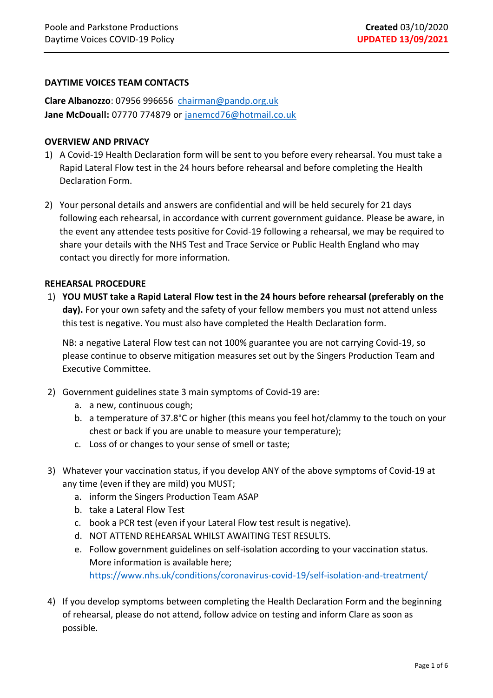### **DAYTIME VOICES TEAM CONTACTS**

**Clare Albanozzo**: 07956 996656 [chairman@pandp.org.uk](mailto:chairman@pandp.org.uk)  **Jane McDouall:** 07770 774879 or [janemcd76@hotmail.co.uk](mailto:janemcd76@hotmail.co.uk)

#### **OVERVIEW AND PRIVACY**

- 1) A Covid-19 Health Declaration form will be sent to you before every rehearsal. You must take a Rapid Lateral Flow test in the 24 hours before rehearsal and before completing the Health Declaration Form.
- 2) Your personal details and answers are confidential and will be held securely for 21 days following each rehearsal, in accordance with current government guidance. Please be aware, in the event any attendee tests positive for Covid-19 following a rehearsal, we may be required to share your details with the NHS Test and Trace Service or Public Health England who may contact you directly for more information.

#### **REHEARSAL PROCEDURE**

1) **YOU MUST take a Rapid Lateral Flow test in the 24 hours before rehearsal (preferably on the day).** For your own safety and the safety of your fellow members you must not attend unless this test is negative. You must also have completed the Health Declaration form.

NB: a negative Lateral Flow test can not 100% guarantee you are not carrying Covid-19, so please continue to observe mitigation measures set out by the Singers Production Team and Executive Committee.

- 2) Government guidelines state 3 main symptoms of Covid-19 are:
	- a. a new, continuous cough;
	- b. a temperature of 37.8°C or higher (this means you feel hot/clammy to the touch on your chest or back if you are unable to measure your temperature);
	- c. Loss of or changes to your sense of smell or taste;
- 3) Whatever your vaccination status, if you develop ANY of the above symptoms of Covid-19 at any time (even if they are mild) you MUST;
	- a. inform the Singers Production Team ASAP
	- b. take a Lateral Flow Test
	- c. book a PCR test (even if your Lateral Flow test result is negative).
	- d. NOT ATTEND REHEARSAL WHILST AWAITING TEST RESULTS.
	- e. Follow government guidelines on self-isolation according to your vaccination status. More information is available here; <https://www.nhs.uk/conditions/coronavirus-covid-19/self-isolation-and-treatment/>
- 4) If you develop symptoms between completing the Health Declaration Form and the beginning of rehearsal, please do not attend, follow advice on testing and inform Clare as soon as possible.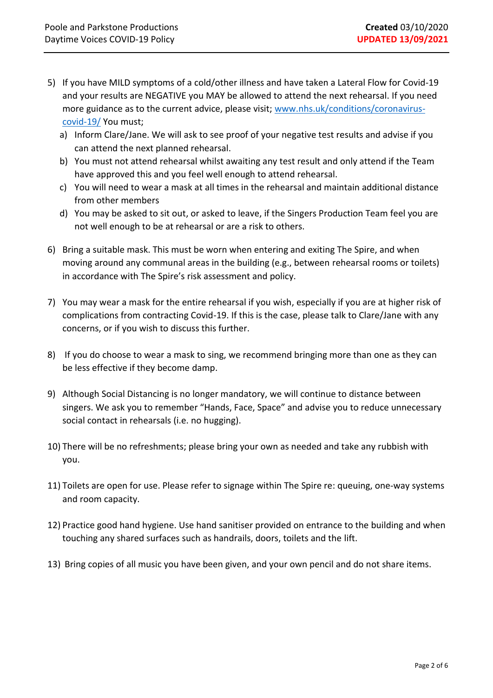- 5) If you have MILD symptoms of a cold/other illness and have taken a Lateral Flow for Covid-19 and your results are NEGATIVE you MAY be allowed to attend the next rehearsal. If you need more guidance as to the current advice, please visit; [www.nhs.uk/conditions/coronavirus](http://www.nhs.uk/conditions/coronavirus-covid-19/)[covid-19/](http://www.nhs.uk/conditions/coronavirus-covid-19/) You must;
	- a) Inform Clare/Jane. We will ask to see proof of your negative test results and advise if you can attend the next planned rehearsal.
	- b) You must not attend rehearsal whilst awaiting any test result and only attend if the Team have approved this and you feel well enough to attend rehearsal.
	- c) You will need to wear a mask at all times in the rehearsal and maintain additional distance from other members
	- d) You may be asked to sit out, or asked to leave, if the Singers Production Team feel you are not well enough to be at rehearsal or are a risk to others.
- 6) Bring a suitable mask. This must be worn when entering and exiting The Spire, and when moving around any communal areas in the building (e.g., between rehearsal rooms or toilets) in accordance with The Spire's risk assessment and policy.
- 7) You may wear a mask for the entire rehearsal if you wish, especially if you are at higher risk of complications from contracting Covid-19. If this is the case, please talk to Clare/Jane with any concerns, or if you wish to discuss this further.
- 8) If you do choose to wear a mask to sing, we recommend bringing more than one as they can be less effective if they become damp.
- 9) Although Social Distancing is no longer mandatory, we will continue to distance between singers. We ask you to remember "Hands, Face, Space" and advise you to reduce unnecessary social contact in rehearsals (i.e. no hugging).
- 10) There will be no refreshments; please bring your own as needed and take any rubbish with you.
- 11) Toilets are open for use. Please refer to signage within The Spire re: queuing, one-way systems and room capacity.
- 12) Practice good hand hygiene. Use hand sanitiser provided on entrance to the building and when touching any shared surfaces such as handrails, doors, toilets and the lift.
- 13) Bring copies of all music you have been given, and your own pencil and do not share items.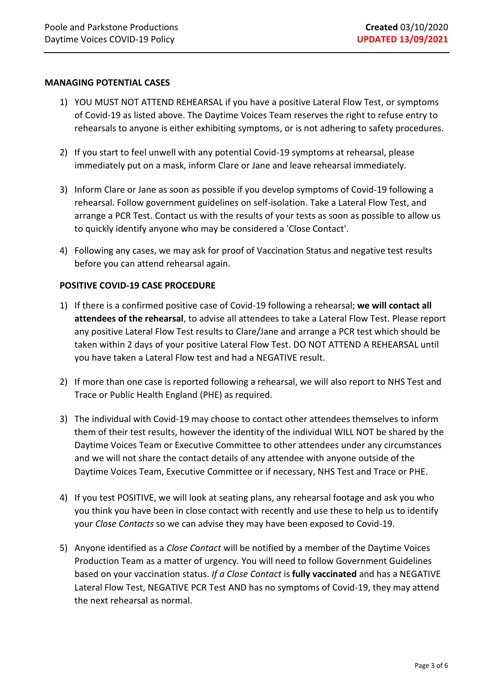#### **MANAGING POTENTIAL CASES**

- 1) YOU MUST NOT ATTEND REHEARSAL if you have a positive Lateral Flow Test, or symptoms of Covid-19 as listed above. The Daytime Voices Team reserves the right to refuse entry to rehearsals to anyone is either exhibiting symptoms, or is not adhering to safety procedures.
- 2) If you start to feel unwell with any potential Covid-19 symptoms at rehearsal, please immediately put on a mask, inform Clare or Jane and leave rehearsal immediately.
- 3) Inform Clare or Jane as soon as possible if you develop symptoms of Covid-19 following a rehearsal. Follow government guidelines on self-isolation. Take a Lateral Flow Test, and arrange a PCR Test. Contact us with the results of your tests as soon as possible to allow us to quickly identify anyone who may be considered a 'Close Contact'.
- 4) Following any cases, we may ask for proof of Vaccination Status and negative test results before you can attend rehearsal again.

### **POSITIVE COVID-19 CASE PROCEDURE**

- 1) If there is a confirmed positive case of Covid-19 following a rehearsal; **we will contact all attendees of the rehearsal**, to advise all attendees to take a Lateral Flow Test. Please report any positive Lateral Flow Test results to Clare/Jane and arrange a PCR test which should be taken within 2 days of your positive Lateral Flow Test. DO NOT ATTEND A REHEARSAL until you have taken a Lateral Flow test and had a NEGATIVE result.
- 2) If more than one case is reported following a rehearsal, we will also report to NHS Test and Trace or Public Health England (PHE) as required.
- 3) The individual with Covid-19 may choose to contact other attendees themselves to inform them of their test results, however the identity of the individual WILL NOT be shared by the Daytime Voices Team or Executive Committee to other attendees under any circumstances and we will not share the contact details of any attendee with anyone outside of the Daytime Voices Team, Executive Committee or if necessary, NHS Test and Trace or PHE.
- 4) If you test POSITIVE, we will look at seating plans, any rehearsal footage and ask you who you think you have been in close contact with recently and use these to help us to identify your *Close Contacts* so we can advise they may have been exposed to Covid-19.
- 5) Anyone identified as a *Close Contact* will be notified by a member of the Daytime Voices Production Team as a matter of urgency. You will need to follow Government Guidelines based on your vaccination status. *If a Close Contact* is **fully vaccinated** and has a NEGATIVE Lateral Flow Test, NEGATIVE PCR Test AND has no symptoms of Covid-19, they may attend the next rehearsal as normal.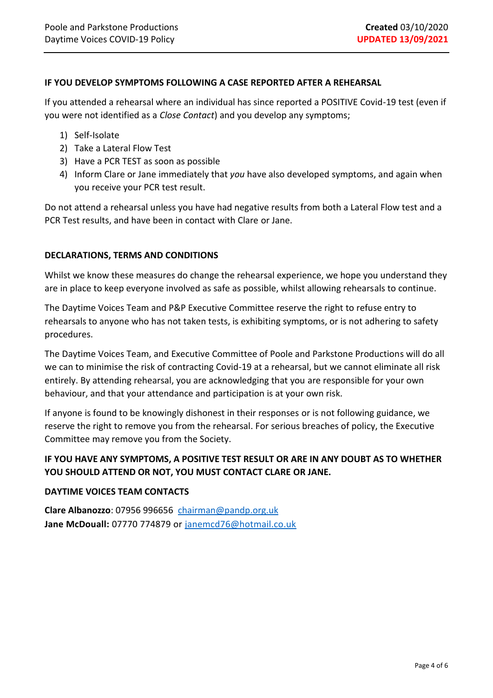#### **IF YOU DEVELOP SYMPTOMS FOLLOWING A CASE REPORTED AFTER A REHEARSAL**

If you attended a rehearsal where an individual has since reported a POSITIVE Covid-19 test (even if you were not identified as a *Close Contact*) and you develop any symptoms;

- 1) Self-Isolate
- 2) Take a Lateral Flow Test
- 3) Have a PCR TEST as soon as possible
- 4) Inform Clare or Jane immediately that *you* have also developed symptoms, and again when you receive your PCR test result.

Do not attend a rehearsal unless you have had negative results from both a Lateral Flow test and a PCR Test results, and have been in contact with Clare or Jane.

#### **DECLARATIONS, TERMS AND CONDITIONS**

Whilst we know these measures do change the rehearsal experience, we hope you understand they are in place to keep everyone involved as safe as possible, whilst allowing rehearsals to continue.

The Daytime Voices Team and P&P Executive Committee reserve the right to refuse entry to rehearsals to anyone who has not taken tests, is exhibiting symptoms, or is not adhering to safety procedures.

The Daytime Voices Team, and Executive Committee of Poole and Parkstone Productions will do all we can to minimise the risk of contracting Covid-19 at a rehearsal, but we cannot eliminate all risk entirely. By attending rehearsal, you are acknowledging that you are responsible for your own behaviour, and that your attendance and participation is at your own risk.

If anyone is found to be knowingly dishonest in their responses or is not following guidance, we reserve the right to remove you from the rehearsal. For serious breaches of policy, the Executive Committee may remove you from the Society.

# **IF YOU HAVE ANY SYMPTOMS, A POSITIVE TEST RESULT OR ARE IN ANY DOUBT AS TO WHETHER YOU SHOULD ATTEND OR NOT, YOU MUST CONTACT CLARE OR JANE.**

#### **DAYTIME VOICES TEAM CONTACTS**

**Clare Albanozzo**: 07956 996656 [chairman@pandp.org.uk](mailto:chairman@pandp.org.uk)  **Jane McDouall:** 07770 774879 or [janemcd76@hotmail.co.uk](mailto:janemcd76@hotmail.co.uk)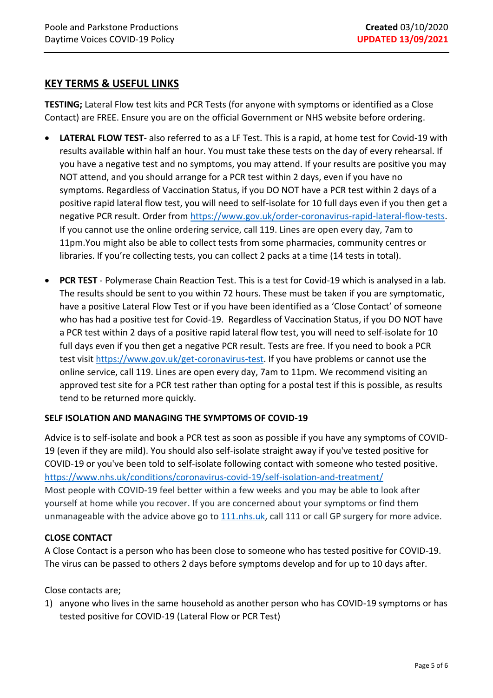# **KEY TERMS & USEFUL LINKS**

**TESTING;** Lateral Flow test kits and PCR Tests (for anyone with symptoms or identified as a Close Contact) are FREE. Ensure you are on the official Government or NHS website before ordering.

- **LATERAL FLOW TEST** also referred to as a LF Test. This is a rapid, at home test for Covid-19 with results available within half an hour. You must take these tests on the day of every rehearsal. If you have a negative test and no symptoms, you may attend. If your results are positive you may NOT attend, and you should arrange for a PCR test within 2 days, even if you have no symptoms. Regardless of Vaccination Status, if you DO NOT have a PCR test within 2 days of a positive rapid lateral flow test, you will need to self-isolate for 10 full days even if you then get a negative PCR result. Order from [https://www.gov.uk/order-coronavirus-rapid-lateral-flow-tests.](https://www.gov.uk/order-coronavirus-rapid-lateral-flow-tests) If you cannot use the online ordering service, call 119. Lines are open every day, 7am to 11pm.You might also be able to collect tests from some pharmacies, community centres or libraries. If you're collecting tests, you can collect 2 packs at a time (14 tests in total).
- **PCR TEST** Polymerase Chain Reaction Test. This is a test for Covid-19 which is analysed in a lab. The results should be sent to you within 72 hours. These must be taken if you are symptomatic, have a positive Lateral Flow Test or if you have been identified as a 'Close Contact' of someone who has had a positive test for Covid-19. Regardless of Vaccination Status, if you DO NOT have a PCR test within 2 days of a positive rapid lateral flow test, you will need to self-isolate for 10 full days even if you then get a negative PCR result. Tests are free. If you need to book a PCR test visit [https://www.gov.uk/get-coronavirus-test.](https://www.gov.uk/get-coronavirus-test) If you have problems or cannot use the online service, call 119. Lines are open every day, 7am to 11pm. We recommend visiting an approved test site for a PCR test rather than opting for a postal test if this is possible, as results tend to be returned more quickly.

#### **SELF ISOLATION AND MANAGING THE SYMPTOMS OF COVID-19**

Advice is to self-isolate and book a PCR test as soon as possible if you have any symptoms of COVID-19 (even if they are mild). You should also self-isolate straight away if you've tested positive for COVID-19 or you've been told to self-isolate following contact with someone who tested positive. <https://www.nhs.uk/conditions/coronavirus-covid-19/self-isolation-and-treatment/> Most people with COVID-19 feel better within a few weeks and you may be able to look after yourself at home while you recover. If you are concerned about your symptoms or find them unmanageable with the advice above go to [111.nhs.uk,](https://111.nhs.uk/covid-19/) call 111 or call GP surgery for more advice.

### **CLOSE CONTACT**

A Close Contact is a person who has been close to someone who has tested positive for COVID-19. The virus can be passed to others 2 days before symptoms develop and for up to 10 days after.

Close contacts are;

1) anyone who lives in the same household as another person who has COVID-19 symptoms or has tested positive for COVID-19 (Lateral Flow or PCR Test)